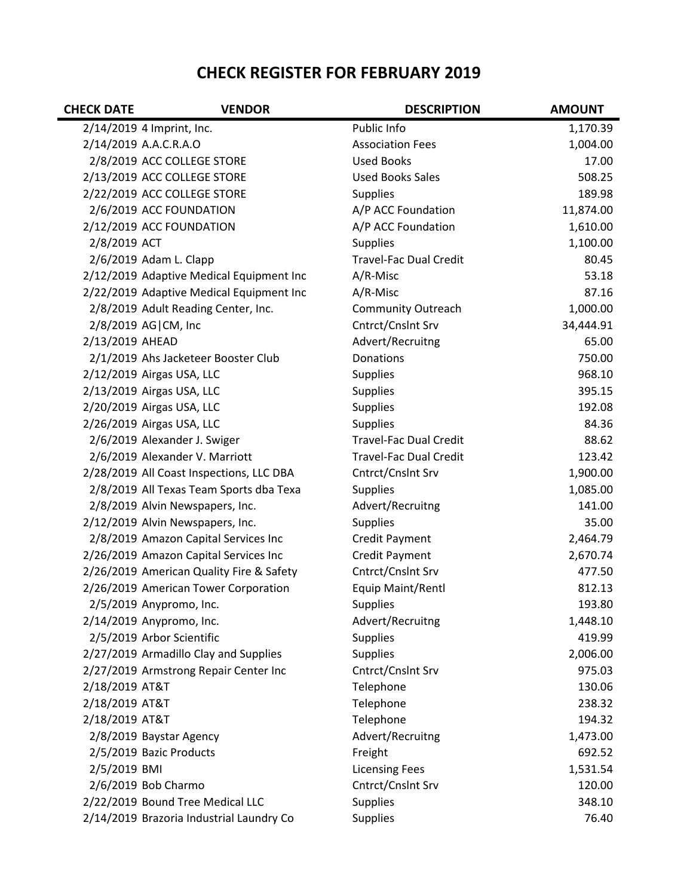## **CHECK REGISTER FOR FEBRUARY 2019**

| <b>CHECK DATE</b> | <b>VENDOR</b>                            | <b>DESCRIPTION</b>            | <b>AMOUNT</b> |
|-------------------|------------------------------------------|-------------------------------|---------------|
|                   | 2/14/2019 4 Imprint, Inc.                | Public Info                   | 1,170.39      |
|                   | 2/14/2019 A.A.C.R.A.O                    | <b>Association Fees</b>       | 1,004.00      |
|                   | 2/8/2019 ACC COLLEGE STORE               | <b>Used Books</b>             | 17.00         |
|                   | 2/13/2019 ACC COLLEGE STORE              | <b>Used Books Sales</b>       | 508.25        |
|                   | 2/22/2019 ACC COLLEGE STORE              | <b>Supplies</b>               | 189.98        |
|                   | 2/6/2019 ACC FOUNDATION                  | A/P ACC Foundation            | 11,874.00     |
|                   | 2/12/2019 ACC FOUNDATION                 | A/P ACC Foundation            | 1,610.00      |
| 2/8/2019 ACT      |                                          | <b>Supplies</b>               | 1,100.00      |
|                   | 2/6/2019 Adam L. Clapp                   | <b>Travel-Fac Dual Credit</b> | 80.45         |
|                   | 2/12/2019 Adaptive Medical Equipment Inc | A/R-Misc                      | 53.18         |
|                   | 2/22/2019 Adaptive Medical Equipment Inc | A/R-Misc                      | 87.16         |
|                   | 2/8/2019 Adult Reading Center, Inc.      | <b>Community Outreach</b>     | 1,000.00      |
|                   | 2/8/2019 AG CM, Inc                      | Cntrct/Cnslnt Srv             | 34,444.91     |
| 2/13/2019 AHEAD   |                                          | Advert/Recruitng              | 65.00         |
|                   | 2/1/2019 Ahs Jacketeer Booster Club      | Donations                     | 750.00        |
|                   | 2/12/2019 Airgas USA, LLC                | <b>Supplies</b>               | 968.10        |
|                   | 2/13/2019 Airgas USA, LLC                | <b>Supplies</b>               | 395.15        |
|                   | 2/20/2019 Airgas USA, LLC                | <b>Supplies</b>               | 192.08        |
|                   | 2/26/2019 Airgas USA, LLC                | Supplies                      | 84.36         |
|                   | 2/6/2019 Alexander J. Swiger             | <b>Travel-Fac Dual Credit</b> | 88.62         |
|                   | 2/6/2019 Alexander V. Marriott           | <b>Travel-Fac Dual Credit</b> | 123.42        |
|                   | 2/28/2019 All Coast Inspections, LLC DBA | Cntrct/Cnslnt Srv             | 1,900.00      |
|                   | 2/8/2019 All Texas Team Sports dba Texa  | <b>Supplies</b>               | 1,085.00      |
|                   | 2/8/2019 Alvin Newspapers, Inc.          | Advert/Recruitng              | 141.00        |
|                   | 2/12/2019 Alvin Newspapers, Inc.         | <b>Supplies</b>               | 35.00         |
|                   | 2/8/2019 Amazon Capital Services Inc     | Credit Payment                | 2,464.79      |
|                   | 2/26/2019 Amazon Capital Services Inc    | <b>Credit Payment</b>         | 2,670.74      |
|                   | 2/26/2019 American Quality Fire & Safety | Cntrct/Cnslnt Srv             | 477.50        |
|                   | 2/26/2019 American Tower Corporation     | Equip Maint/Rentl             | 812.13        |
|                   | 2/5/2019 Anypromo, Inc.                  | <b>Supplies</b>               | 193.80        |
|                   | 2/14/2019 Anypromo, Inc.                 | Advert/Recruitng              | 1,448.10      |
|                   | 2/5/2019 Arbor Scientific                | <b>Supplies</b>               | 419.99        |
|                   | 2/27/2019 Armadillo Clay and Supplies    | <b>Supplies</b>               | 2,006.00      |
|                   | 2/27/2019 Armstrong Repair Center Inc    | Cntrct/Cnslnt Srv             | 975.03        |
| 2/18/2019 AT&T    |                                          | Telephone                     | 130.06        |
| 2/18/2019 AT&T    |                                          | Telephone                     | 238.32        |
| 2/18/2019 AT&T    |                                          | Telephone                     | 194.32        |
|                   | 2/8/2019 Baystar Agency                  | Advert/Recruitng              | 1,473.00      |
|                   | 2/5/2019 Bazic Products                  | Freight                       | 692.52        |
| 2/5/2019 BMI      |                                          | <b>Licensing Fees</b>         | 1,531.54      |
|                   | 2/6/2019 Bob Charmo                      | Cntrct/Cnslnt Srv             | 120.00        |
|                   | 2/22/2019 Bound Tree Medical LLC         | <b>Supplies</b>               | 348.10        |
|                   | 2/14/2019 Brazoria Industrial Laundry Co | <b>Supplies</b>               | 76.40         |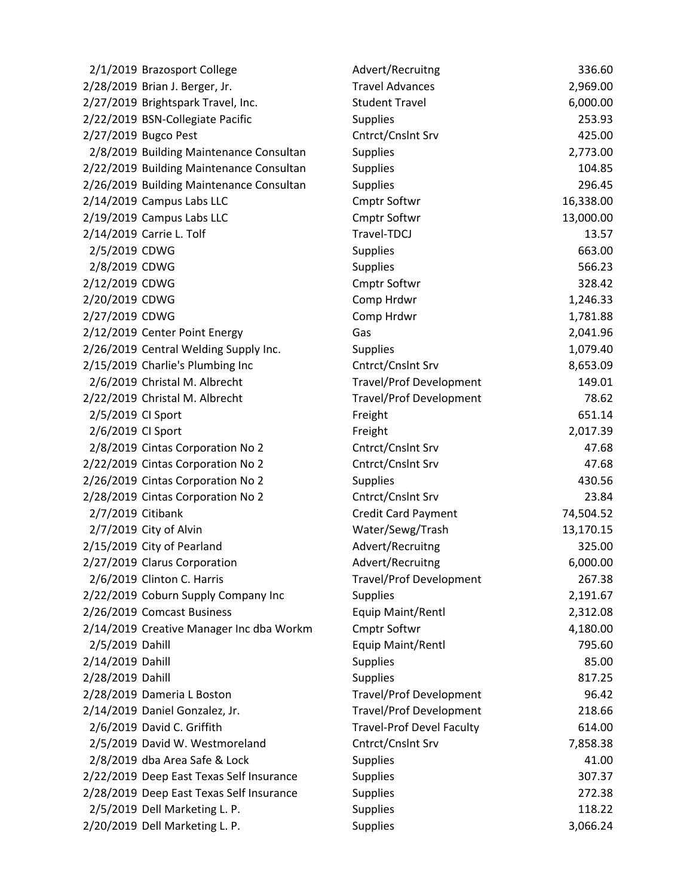| 2/1/2019 Brazosport College              | Advert/Recruitng                 | 336.60    |
|------------------------------------------|----------------------------------|-----------|
| 2/28/2019 Brian J. Berger, Jr.           | <b>Travel Advances</b>           | 2,969.00  |
| 2/27/2019 Brightspark Travel, Inc.       | <b>Student Travel</b>            | 6,000.00  |
| 2/22/2019 BSN-Collegiate Pacific         | <b>Supplies</b>                  | 253.93    |
| 2/27/2019 Bugco Pest                     | Cntrct/Cnslnt Srv                | 425.00    |
| 2/8/2019 Building Maintenance Consultan  | <b>Supplies</b>                  | 2,773.00  |
| 2/22/2019 Building Maintenance Consultan | <b>Supplies</b>                  | 104.85    |
| 2/26/2019 Building Maintenance Consultan | <b>Supplies</b>                  | 296.45    |
| 2/14/2019 Campus Labs LLC                | <b>Cmptr Softwr</b>              | 16,338.00 |
| 2/19/2019 Campus Labs LLC                | <b>Cmptr Softwr</b>              | 13,000.00 |
| 2/14/2019 Carrie L. Tolf                 | Travel-TDCJ                      | 13.57     |
| 2/5/2019 CDWG                            | <b>Supplies</b>                  | 663.00    |
| 2/8/2019 CDWG                            | <b>Supplies</b>                  | 566.23    |
| 2/12/2019 CDWG                           | Cmptr Softwr                     | 328.42    |
| 2/20/2019 CDWG                           | Comp Hrdwr                       | 1,246.33  |
| 2/27/2019 CDWG                           | Comp Hrdwr                       | 1,781.88  |
| 2/12/2019 Center Point Energy            | Gas                              | 2,041.96  |
| 2/26/2019 Central Welding Supply Inc.    | <b>Supplies</b>                  | 1,079.40  |
| 2/15/2019 Charlie's Plumbing Inc         | Cntrct/Cnslnt Srv                | 8,653.09  |
| 2/6/2019 Christal M. Albrecht            | <b>Travel/Prof Development</b>   | 149.01    |
| 2/22/2019 Christal M. Albrecht           | <b>Travel/Prof Development</b>   | 78.62     |
| 2/5/2019 CI Sport                        | Freight                          | 651.14    |
| 2/6/2019 CI Sport                        | Freight                          | 2,017.39  |
| 2/8/2019 Cintas Corporation No 2         | Cntrct/Cnslnt Srv                | 47.68     |
| 2/22/2019 Cintas Corporation No 2        | Cntrct/Cnslnt Srv                | 47.68     |
| 2/26/2019 Cintas Corporation No 2        | <b>Supplies</b>                  | 430.56    |
| 2/28/2019 Cintas Corporation No 2        | Cntrct/Cnslnt Srv                | 23.84     |
| 2/7/2019 Citibank                        | <b>Credit Card Payment</b>       | 74,504.52 |
| 2/7/2019 City of Alvin                   | Water/Sewg/Trash                 | 13,170.15 |
| 2/15/2019 City of Pearland               | Advert/Recruitng                 | 325.00    |
| 2/27/2019 Clarus Corporation             | Advert/Recruitng                 | 6,000.00  |
| 2/6/2019 Clinton C. Harris               | <b>Travel/Prof Development</b>   | 267.38    |
| 2/22/2019 Coburn Supply Company Inc      | <b>Supplies</b>                  | 2,191.67  |
| 2/26/2019 Comcast Business               | Equip Maint/Rentl                | 2,312.08  |
| 2/14/2019 Creative Manager Inc dba Workm | <b>Cmptr Softwr</b>              | 4,180.00  |
| 2/5/2019 Dahill                          | Equip Maint/Rentl                | 795.60    |
| 2/14/2019 Dahill                         | <b>Supplies</b>                  | 85.00     |
| 2/28/2019 Dahill                         | <b>Supplies</b>                  | 817.25    |
| 2/28/2019 Dameria L Boston               | <b>Travel/Prof Development</b>   | 96.42     |
| 2/14/2019 Daniel Gonzalez, Jr.           | <b>Travel/Prof Development</b>   | 218.66    |
| 2/6/2019 David C. Griffith               | <b>Travel-Prof Devel Faculty</b> | 614.00    |
| 2/5/2019 David W. Westmoreland           | Cntrct/Cnslnt Srv                | 7,858.38  |
| 2/8/2019 dba Area Safe & Lock            | <b>Supplies</b>                  | 41.00     |
| 2/22/2019 Deep East Texas Self Insurance | <b>Supplies</b>                  | 307.37    |
| 2/28/2019 Deep East Texas Self Insurance | <b>Supplies</b>                  | 272.38    |
| 2/5/2019 Dell Marketing L. P.            | Supplies                         | 118.22    |
| 2/20/2019 Dell Marketing L. P.           | Supplies                         | 3,066.24  |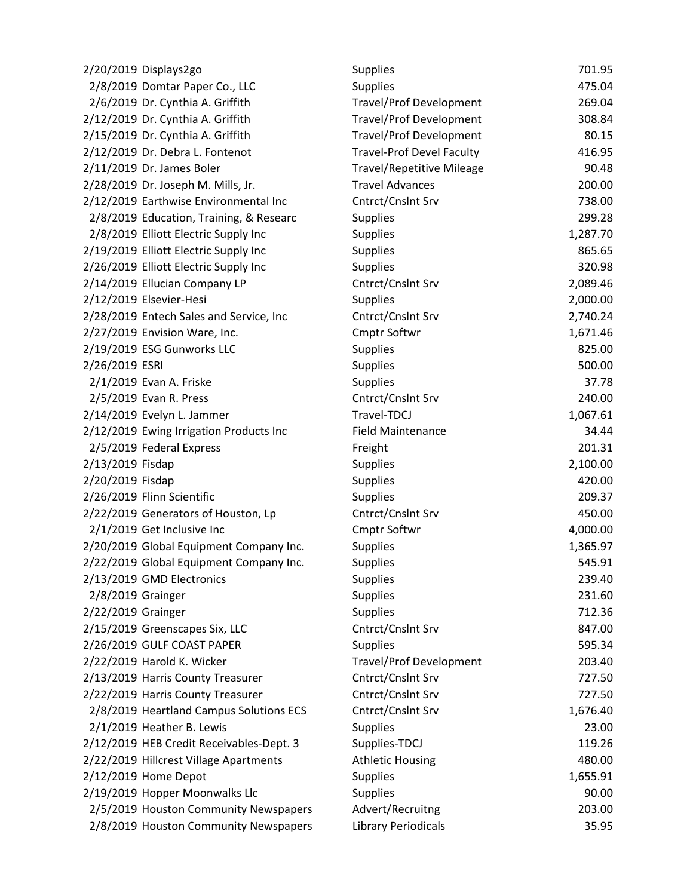| 2/20/2019 Displays2go                    | <b>Supplies</b>                  | 701.95   |
|------------------------------------------|----------------------------------|----------|
| 2/8/2019 Domtar Paper Co., LLC           | <b>Supplies</b>                  | 475.04   |
| 2/6/2019 Dr. Cynthia A. Griffith         | <b>Travel/Prof Development</b>   | 269.04   |
| 2/12/2019 Dr. Cynthia A. Griffith        | <b>Travel/Prof Development</b>   | 308.84   |
| 2/15/2019 Dr. Cynthia A. Griffith        | <b>Travel/Prof Development</b>   | 80.15    |
| 2/12/2019 Dr. Debra L. Fontenot          | <b>Travel-Prof Devel Faculty</b> | 416.95   |
| 2/11/2019 Dr. James Boler                | <b>Travel/Repetitive Mileage</b> | 90.48    |
| 2/28/2019 Dr. Joseph M. Mills, Jr.       | <b>Travel Advances</b>           | 200.00   |
| 2/12/2019 Earthwise Environmental Inc    | Cntrct/Cnslnt Srv                | 738.00   |
| 2/8/2019 Education, Training, & Researc  | <b>Supplies</b>                  | 299.28   |
| 2/8/2019 Elliott Electric Supply Inc     | <b>Supplies</b>                  | 1,287.70 |
| 2/19/2019 Elliott Electric Supply Inc    | <b>Supplies</b>                  | 865.65   |
| 2/26/2019 Elliott Electric Supply Inc    | <b>Supplies</b>                  | 320.98   |
| 2/14/2019 Ellucian Company LP            | Cntrct/Cnslnt Srv                | 2,089.46 |
| 2/12/2019 Elsevier-Hesi                  | <b>Supplies</b>                  | 2,000.00 |
| 2/28/2019 Entech Sales and Service, Inc  | Cntrct/Cnslnt Srv                | 2,740.24 |
| 2/27/2019 Envision Ware, Inc.            | <b>Cmptr Softwr</b>              | 1,671.46 |
| 2/19/2019 ESG Gunworks LLC               | <b>Supplies</b>                  | 825.00   |
| 2/26/2019 ESRI                           | <b>Supplies</b>                  | 500.00   |
| 2/1/2019 Evan A. Friske                  | <b>Supplies</b>                  | 37.78    |
| 2/5/2019 Evan R. Press                   | Cntrct/Cnslnt Srv                | 240.00   |
| 2/14/2019 Evelyn L. Jammer               | Travel-TDCJ                      | 1,067.61 |
| 2/12/2019 Ewing Irrigation Products Inc  | <b>Field Maintenance</b>         | 34.44    |
| 2/5/2019 Federal Express                 | Freight                          | 201.31   |
| 2/13/2019 Fisdap                         | <b>Supplies</b>                  | 2,100.00 |
| 2/20/2019 Fisdap                         | <b>Supplies</b>                  | 420.00   |
| 2/26/2019 Flinn Scientific               | <b>Supplies</b>                  | 209.37   |
| 2/22/2019 Generators of Houston, Lp      | Cntrct/Cnslnt Srv                | 450.00   |
| 2/1/2019 Get Inclusive Inc               | <b>Cmptr Softwr</b>              | 4,000.00 |
| 2/20/2019 Global Equipment Company Inc.  | <b>Supplies</b>                  | 1,365.97 |
| 2/22/2019 Global Equipment Company Inc.  | <b>Supplies</b>                  | 545.91   |
| 2/13/2019 GMD Electronics                | <b>Supplies</b>                  | 239.40   |
| 2/8/2019 Grainger                        | <b>Supplies</b>                  | 231.60   |
| 2/22/2019 Grainger                       | <b>Supplies</b>                  | 712.36   |
| 2/15/2019 Greenscapes Six, LLC           | Cntrct/Cnslnt Srv                | 847.00   |
| 2/26/2019 GULF COAST PAPER               | <b>Supplies</b>                  | 595.34   |
| 2/22/2019 Harold K. Wicker               | <b>Travel/Prof Development</b>   | 203.40   |
| 2/13/2019 Harris County Treasurer        | Cntrct/Cnslnt Srv                | 727.50   |
| 2/22/2019 Harris County Treasurer        | Cntrct/Cnslnt Srv                | 727.50   |
| 2/8/2019 Heartland Campus Solutions ECS  | Cntrct/Cnslnt Srv                | 1,676.40 |
| 2/1/2019 Heather B. Lewis                | <b>Supplies</b>                  | 23.00    |
| 2/12/2019 HEB Credit Receivables-Dept. 3 | Supplies-TDCJ                    | 119.26   |
| 2/22/2019 Hillcrest Village Apartments   | <b>Athletic Housing</b>          | 480.00   |
| 2/12/2019 Home Depot                     | <b>Supplies</b>                  | 1,655.91 |
| 2/19/2019 Hopper Moonwalks Llc           | <b>Supplies</b>                  | 90.00    |
| 2/5/2019 Houston Community Newspapers    | Advert/Recruitng                 | 203.00   |
| 2/8/2019 Houston Community Newspapers    | <b>Library Periodicals</b>       | 35.95    |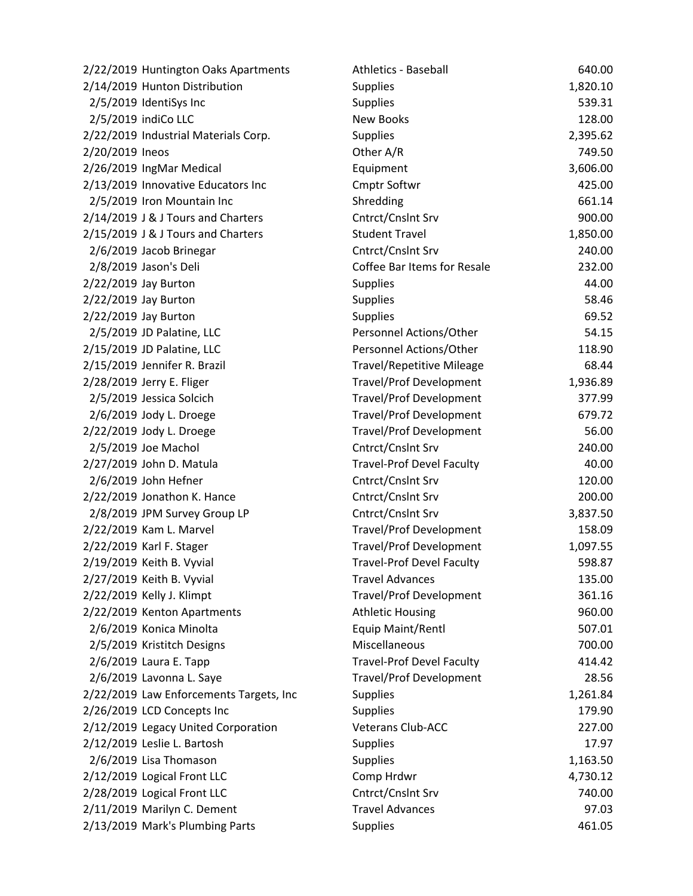| 2/22/2019 Huntington Oaks Apartments    | <b>Athletics - Baseball</b>      | 640.00   |
|-----------------------------------------|----------------------------------|----------|
| 2/14/2019 Hunton Distribution           | <b>Supplies</b>                  | 1,820.10 |
| 2/5/2019 IdentiSys Inc                  | <b>Supplies</b>                  | 539.31   |
| 2/5/2019 indiCo LLC                     | <b>New Books</b>                 | 128.00   |
| 2/22/2019 Industrial Materials Corp.    | <b>Supplies</b>                  | 2,395.62 |
| 2/20/2019 Ineos                         | Other A/R                        | 749.50   |
| 2/26/2019 IngMar Medical                | Equipment                        | 3,606.00 |
| 2/13/2019 Innovative Educators Inc      | <b>Cmptr Softwr</b>              | 425.00   |
| 2/5/2019 Iron Mountain Inc              | Shredding                        | 661.14   |
| 2/14/2019 J & J Tours and Charters      | Cntrct/Cnslnt Srv                | 900.00   |
| 2/15/2019 J & J Tours and Charters      | <b>Student Travel</b>            | 1,850.00 |
| 2/6/2019 Jacob Brinegar                 | Cntrct/Cnslnt Srv                | 240.00   |
| 2/8/2019 Jason's Deli                   | Coffee Bar Items for Resale      | 232.00   |
| 2/22/2019 Jay Burton                    | <b>Supplies</b>                  | 44.00    |
| 2/22/2019 Jay Burton                    | <b>Supplies</b>                  | 58.46    |
| 2/22/2019 Jay Burton                    | Supplies                         | 69.52    |
| 2/5/2019 JD Palatine, LLC               | Personnel Actions/Other          | 54.15    |
| 2/15/2019 JD Palatine, LLC              | Personnel Actions/Other          | 118.90   |
| 2/15/2019 Jennifer R. Brazil            | <b>Travel/Repetitive Mileage</b> | 68.44    |
| 2/28/2019 Jerry E. Fliger               | <b>Travel/Prof Development</b>   | 1,936.89 |
| 2/5/2019 Jessica Solcich                | <b>Travel/Prof Development</b>   | 377.99   |
| 2/6/2019 Jody L. Droege                 | <b>Travel/Prof Development</b>   | 679.72   |
| 2/22/2019 Jody L. Droege                | <b>Travel/Prof Development</b>   | 56.00    |
| 2/5/2019 Joe Machol                     | Cntrct/Cnslnt Srv                | 240.00   |
| 2/27/2019 John D. Matula                | <b>Travel-Prof Devel Faculty</b> | 40.00    |
| 2/6/2019 John Hefner                    | Cntrct/Cnslnt Srv                | 120.00   |
| 2/22/2019 Jonathon K. Hance             | Cntrct/Cnslnt Srv                | 200.00   |
| 2/8/2019 JPM Survey Group LP            | Cntrct/Cnslnt Srv                | 3,837.50 |
| 2/22/2019 Kam L. Marvel                 | <b>Travel/Prof Development</b>   | 158.09   |
| 2/22/2019 Karl F. Stager                | <b>Travel/Prof Development</b>   | 1,097.55 |
| 2/19/2019 Keith B. Vyvial               | <b>Travel-Prof Devel Faculty</b> | 598.87   |
| 2/27/2019 Keith B. Vyvial               | <b>Travel Advances</b>           | 135.00   |
| 2/22/2019 Kelly J. Klimpt               | <b>Travel/Prof Development</b>   | 361.16   |
| 2/22/2019 Kenton Apartments             | <b>Athletic Housing</b>          | 960.00   |
| 2/6/2019 Konica Minolta                 | Equip Maint/Rentl                | 507.01   |
| 2/5/2019 Kristitch Designs              | Miscellaneous                    | 700.00   |
| 2/6/2019 Laura E. Tapp                  | <b>Travel-Prof Devel Faculty</b> | 414.42   |
| 2/6/2019 Lavonna L. Saye                | <b>Travel/Prof Development</b>   | 28.56    |
| 2/22/2019 Law Enforcements Targets, Inc | <b>Supplies</b>                  | 1,261.84 |
| 2/26/2019 LCD Concepts Inc              | <b>Supplies</b>                  | 179.90   |
| 2/12/2019 Legacy United Corporation     | <b>Veterans Club-ACC</b>         | 227.00   |
| 2/12/2019 Leslie L. Bartosh             | <b>Supplies</b>                  | 17.97    |
| 2/6/2019 Lisa Thomason                  | <b>Supplies</b>                  | 1,163.50 |
| 2/12/2019 Logical Front LLC             | Comp Hrdwr                       | 4,730.12 |
| 2/28/2019 Logical Front LLC             | Cntrct/Cnslnt Srv                | 740.00   |
| 2/11/2019 Marilyn C. Dement             | <b>Travel Advances</b>           | 97.03    |
| 2/13/2019 Mark's Plumbing Parts         | Supplies                         | 461.05   |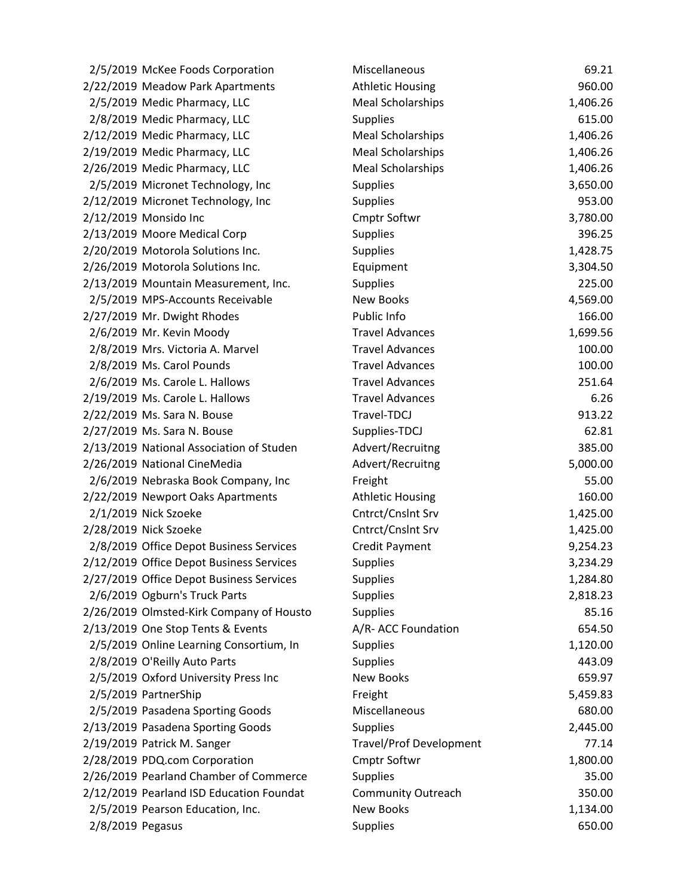| 2/5/2019 McKee Foods Corporation         | Miscellaneous                  | 69.21    |
|------------------------------------------|--------------------------------|----------|
| 2/22/2019 Meadow Park Apartments         | <b>Athletic Housing</b>        | 960.00   |
| 2/5/2019 Medic Pharmacy, LLC             | <b>Meal Scholarships</b>       | 1,406.26 |
| 2/8/2019 Medic Pharmacy, LLC             | <b>Supplies</b>                | 615.00   |
| 2/12/2019 Medic Pharmacy, LLC            | <b>Meal Scholarships</b>       | 1,406.26 |
| 2/19/2019 Medic Pharmacy, LLC            | <b>Meal Scholarships</b>       | 1,406.26 |
| 2/26/2019 Medic Pharmacy, LLC            | <b>Meal Scholarships</b>       | 1,406.26 |
| 2/5/2019 Micronet Technology, Inc        | <b>Supplies</b>                | 3,650.00 |
| 2/12/2019 Micronet Technology, Inc       | <b>Supplies</b>                | 953.00   |
| 2/12/2019 Monsido Inc                    | Cmptr Softwr                   | 3,780.00 |
| 2/13/2019 Moore Medical Corp             | <b>Supplies</b>                | 396.25   |
| 2/20/2019 Motorola Solutions Inc.        | <b>Supplies</b>                | 1,428.75 |
| 2/26/2019 Motorola Solutions Inc.        | Equipment                      | 3,304.50 |
| 2/13/2019 Mountain Measurement, Inc.     | <b>Supplies</b>                | 225.00   |
| 2/5/2019 MPS-Accounts Receivable         | <b>New Books</b>               | 4,569.00 |
| 2/27/2019 Mr. Dwight Rhodes              | Public Info                    | 166.00   |
| 2/6/2019 Mr. Kevin Moody                 | <b>Travel Advances</b>         | 1,699.56 |
| 2/8/2019 Mrs. Victoria A. Marvel         | <b>Travel Advances</b>         | 100.00   |
| 2/8/2019 Ms. Carol Pounds                | <b>Travel Advances</b>         | 100.00   |
| 2/6/2019 Ms. Carole L. Hallows           | <b>Travel Advances</b>         | 251.64   |
| 2/19/2019 Ms. Carole L. Hallows          | <b>Travel Advances</b>         | 6.26     |
| 2/22/2019 Ms. Sara N. Bouse              | Travel-TDCJ                    | 913.22   |
| 2/27/2019 Ms. Sara N. Bouse              | Supplies-TDCJ                  | 62.81    |
| 2/13/2019 National Association of Studen | Advert/Recruitng               | 385.00   |
| 2/26/2019 National CineMedia             | Advert/Recruitng               | 5,000.00 |
| 2/6/2019 Nebraska Book Company, Inc      | Freight                        | 55.00    |
| 2/22/2019 Newport Oaks Apartments        | <b>Athletic Housing</b>        | 160.00   |
| 2/1/2019 Nick Szoeke                     | Cntrct/Cnslnt Srv              | 1,425.00 |
| 2/28/2019 Nick Szoeke                    | Cntrct/Cnslnt Srv              | 1,425.00 |
| 2/8/2019 Office Depot Business Services  | Credit Payment                 | 9,254.23 |
| 2/12/2019 Office Depot Business Services | <b>Supplies</b>                | 3,234.29 |
| 2/27/2019 Office Depot Business Services | <b>Supplies</b>                | 1,284.80 |
| 2/6/2019 Ogburn's Truck Parts            | <b>Supplies</b>                | 2,818.23 |
| 2/26/2019 Olmsted-Kirk Company of Housto | <b>Supplies</b>                | 85.16    |
| 2/13/2019 One Stop Tents & Events        | A/R- ACC Foundation            | 654.50   |
| 2/5/2019 Online Learning Consortium, In  | <b>Supplies</b>                | 1,120.00 |
| 2/8/2019 O'Reilly Auto Parts             | <b>Supplies</b>                | 443.09   |
| 2/5/2019 Oxford University Press Inc     | <b>New Books</b>               | 659.97   |
| 2/5/2019 PartnerShip                     | Freight                        | 5,459.83 |
| 2/5/2019 Pasadena Sporting Goods         | Miscellaneous                  | 680.00   |
| 2/13/2019 Pasadena Sporting Goods        | <b>Supplies</b>                | 2,445.00 |
| 2/19/2019 Patrick M. Sanger              | <b>Travel/Prof Development</b> | 77.14    |
| 2/28/2019 PDQ.com Corporation            | <b>Cmptr Softwr</b>            | 1,800.00 |
| 2/26/2019 Pearland Chamber of Commerce   | <b>Supplies</b>                | 35.00    |
| 2/12/2019 Pearland ISD Education Foundat | <b>Community Outreach</b>      | 350.00   |
| 2/5/2019 Pearson Education, Inc.         | <b>New Books</b>               | 1,134.00 |
| 2/8/2019 Pegasus                         | <b>Supplies</b>                | 650.00   |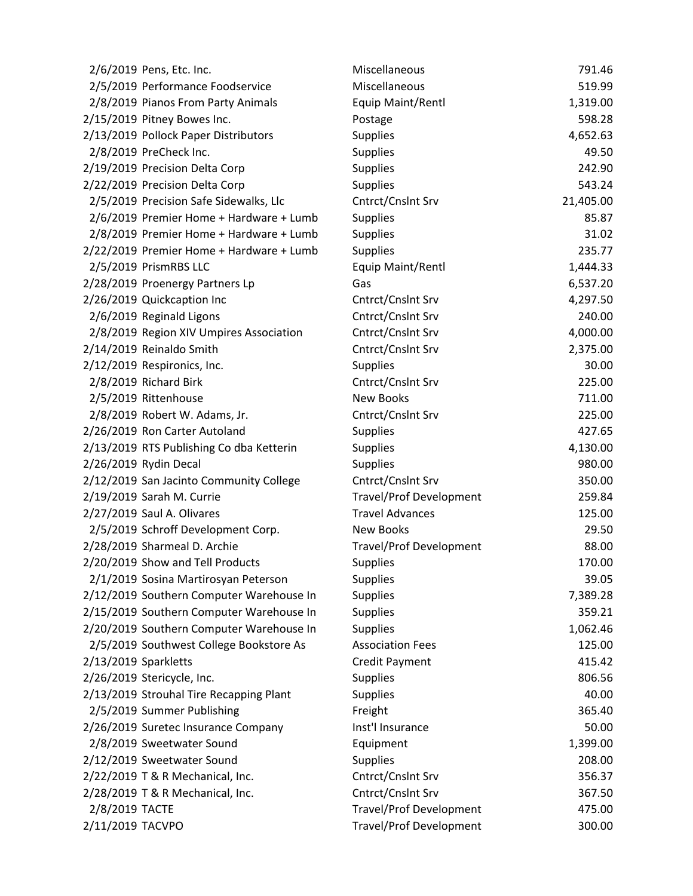|                      | 2/6/2019 Pens, Etc. Inc.                 | Miscellaneous                  | 791.46    |
|----------------------|------------------------------------------|--------------------------------|-----------|
|                      | 2/5/2019 Performance Foodservice         | Miscellaneous                  | 519.99    |
|                      | 2/8/2019 Pianos From Party Animals       | Equip Maint/Rentl              | 1,319.00  |
|                      | 2/15/2019 Pitney Bowes Inc.              | Postage                        | 598.28    |
|                      | 2/13/2019 Pollock Paper Distributors     | <b>Supplies</b>                | 4,652.63  |
|                      | 2/8/2019 PreCheck Inc.                   | <b>Supplies</b>                | 49.50     |
|                      | 2/19/2019 Precision Delta Corp           | <b>Supplies</b>                | 242.90    |
|                      | 2/22/2019 Precision Delta Corp           | <b>Supplies</b>                | 543.24    |
|                      | 2/5/2019 Precision Safe Sidewalks, Llc   | Cntrct/Cnslnt Srv              | 21,405.00 |
|                      | 2/6/2019 Premier Home + Hardware + Lumb  | <b>Supplies</b>                | 85.87     |
|                      | 2/8/2019 Premier Home + Hardware + Lumb  | <b>Supplies</b>                | 31.02     |
|                      | 2/22/2019 Premier Home + Hardware + Lumb | <b>Supplies</b>                | 235.77    |
|                      | 2/5/2019 PrismRBS LLC                    | Equip Maint/Rentl              | 1,444.33  |
|                      | 2/28/2019 Proenergy Partners Lp          | Gas                            | 6,537.20  |
|                      | 2/26/2019 Quickcaption Inc               | Cntrct/Cnslnt Srv              | 4,297.50  |
|                      | 2/6/2019 Reginald Ligons                 | Cntrct/Cnslnt Srv              | 240.00    |
|                      | 2/8/2019 Region XIV Umpires Association  | Cntrct/Cnslnt Srv              | 4,000.00  |
|                      | 2/14/2019 Reinaldo Smith                 | Cntrct/Cnslnt Srv              | 2,375.00  |
|                      | 2/12/2019 Respironics, Inc.              | <b>Supplies</b>                | 30.00     |
|                      | 2/8/2019 Richard Birk                    | Cntrct/Cnslnt Srv              | 225.00    |
|                      | 2/5/2019 Rittenhouse                     | <b>New Books</b>               | 711.00    |
|                      | 2/8/2019 Robert W. Adams, Jr.            | Cntrct/Cnslnt Srv              | 225.00    |
|                      | 2/26/2019 Ron Carter Autoland            | <b>Supplies</b>                | 427.65    |
|                      | 2/13/2019 RTS Publishing Co dba Ketterin | <b>Supplies</b>                | 4,130.00  |
|                      | 2/26/2019 Rydin Decal                    | <b>Supplies</b>                | 980.00    |
|                      | 2/12/2019 San Jacinto Community College  | Cntrct/Cnslnt Srv              | 350.00    |
|                      | 2/19/2019 Sarah M. Currie                | <b>Travel/Prof Development</b> | 259.84    |
|                      | 2/27/2019 Saul A. Olivares               | <b>Travel Advances</b>         | 125.00    |
|                      | 2/5/2019 Schroff Development Corp.       | New Books                      | 29.50     |
|                      | 2/28/2019 Sharmeal D. Archie             | <b>Travel/Prof Development</b> | 88.00     |
|                      | 2/20/2019 Show and Tell Products         | <b>Supplies</b>                | 170.00    |
|                      | 2/1/2019 Sosina Martirosyan Peterson     | <b>Supplies</b>                | 39.05     |
|                      | 2/12/2019 Southern Computer Warehouse In | <b>Supplies</b>                | 7,389.28  |
|                      | 2/15/2019 Southern Computer Warehouse In | <b>Supplies</b>                | 359.21    |
|                      | 2/20/2019 Southern Computer Warehouse In | <b>Supplies</b>                | 1,062.46  |
|                      | 2/5/2019 Southwest College Bookstore As  | <b>Association Fees</b>        | 125.00    |
| 2/13/2019 Sparkletts |                                          | <b>Credit Payment</b>          | 415.42    |
|                      | 2/26/2019 Stericycle, Inc.               | <b>Supplies</b>                | 806.56    |
|                      | 2/13/2019 Strouhal Tire Recapping Plant  | <b>Supplies</b>                | 40.00     |
|                      | 2/5/2019 Summer Publishing               | Freight                        | 365.40    |
|                      | 2/26/2019 Suretec Insurance Company      | Inst'l Insurance               | 50.00     |
|                      | 2/8/2019 Sweetwater Sound                | Equipment                      | 1,399.00  |
|                      | 2/12/2019 Sweetwater Sound               | <b>Supplies</b>                | 208.00    |
|                      | 2/22/2019 T & R Mechanical, Inc.         | Cntrct/Cnslnt Srv              | 356.37    |
|                      | 2/28/2019 T & R Mechanical, Inc.         | Cntrct/Cnslnt Srv              | 367.50    |
| 2/8/2019 TACTE       |                                          | <b>Travel/Prof Development</b> | 475.00    |
| 2/11/2019 TACVPO     |                                          | <b>Travel/Prof Development</b> | 300.00    |